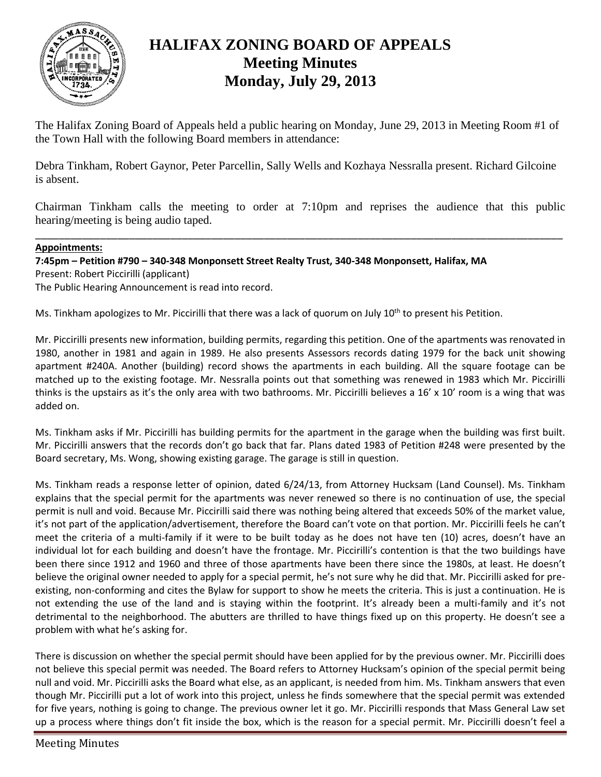

## **HALIFAX ZONING BOARD OF APPEALS Meeting Minutes Monday, July 29, 2013**

The Halifax Zoning Board of Appeals held a public hearing on Monday, June 29, 2013 in Meeting Room #1 of the Town Hall with the following Board members in attendance:

Debra Tinkham, Robert Gaynor, Peter Parcellin, Sally Wells and Kozhaya Nessralla present. Richard Gilcoine is absent.

Chairman Tinkham calls the meeting to order at 7:10pm and reprises the audience that this public hearing/meeting is being audio taped.

\_\_\_\_\_\_\_\_\_\_\_\_\_\_\_\_\_\_\_\_\_\_\_\_\_\_\_\_\_\_\_\_\_\_\_\_\_\_\_\_\_\_\_\_\_\_\_\_\_\_\_\_\_\_\_\_\_\_\_\_\_\_\_\_\_\_\_\_\_\_\_\_\_\_\_\_\_\_\_\_\_\_\_\_\_\_\_\_\_\_

## **Appointments:**

**7:45pm – Petition #790 – 340-348 Monponsett Street Realty Trust, 340-348 Monponsett, Halifax, MA** Present: Robert Piccirilli (applicant) The Public Hearing Announcement is read into record.

Ms. Tinkham apologizes to Mr. Piccirilli that there was a lack of quorum on July 10<sup>th</sup> to present his Petition.

Mr. Piccirilli presents new information, building permits, regarding this petition. One of the apartments was renovated in 1980, another in 1981 and again in 1989. He also presents Assessors records dating 1979 for the back unit showing apartment #240A. Another (building) record shows the apartments in each building. All the square footage can be matched up to the existing footage. Mr. Nessralla points out that something was renewed in 1983 which Mr. Piccirilli thinks is the upstairs as it's the only area with two bathrooms. Mr. Piccirilli believes a 16' x 10' room is a wing that was added on.

Ms. Tinkham asks if Mr. Piccirilli has building permits for the apartment in the garage when the building was first built. Mr. Piccirilli answers that the records don't go back that far. Plans dated 1983 of Petition #248 were presented by the Board secretary, Ms. Wong, showing existing garage. The garage is still in question.

Ms. Tinkham reads a response letter of opinion, dated 6/24/13, from Attorney Hucksam (Land Counsel). Ms. Tinkham explains that the special permit for the apartments was never renewed so there is no continuation of use, the special permit is null and void. Because Mr. Piccirilli said there was nothing being altered that exceeds 50% of the market value, it's not part of the application/advertisement, therefore the Board can't vote on that portion. Mr. Piccirilli feels he can't meet the criteria of a multi-family if it were to be built today as he does not have ten (10) acres, doesn't have an individual lot for each building and doesn't have the frontage. Mr. Piccirilli's contention is that the two buildings have been there since 1912 and 1960 and three of those apartments have been there since the 1980s, at least. He doesn't believe the original owner needed to apply for a special permit, he's not sure why he did that. Mr. Piccirilli asked for preexisting, non-conforming and cites the Bylaw for support to show he meets the criteria. This is just a continuation. He is not extending the use of the land and is staying within the footprint. It's already been a multi-family and it's not detrimental to the neighborhood. The abutters are thrilled to have things fixed up on this property. He doesn't see a problem with what he's asking for.

There is discussion on whether the special permit should have been applied for by the previous owner. Mr. Piccirilli does not believe this special permit was needed. The Board refers to Attorney Hucksam's opinion of the special permit being null and void. Mr. Piccirilli asks the Board what else, as an applicant, is needed from him. Ms. Tinkham answers that even though Mr. Piccirilli put a lot of work into this project, unless he finds somewhere that the special permit was extended for five years, nothing is going to change. The previous owner let it go. Mr. Piccirilli responds that Mass General Law set up a process where things don't fit inside the box, which is the reason for a special permit. Mr. Piccirilli doesn't feel a